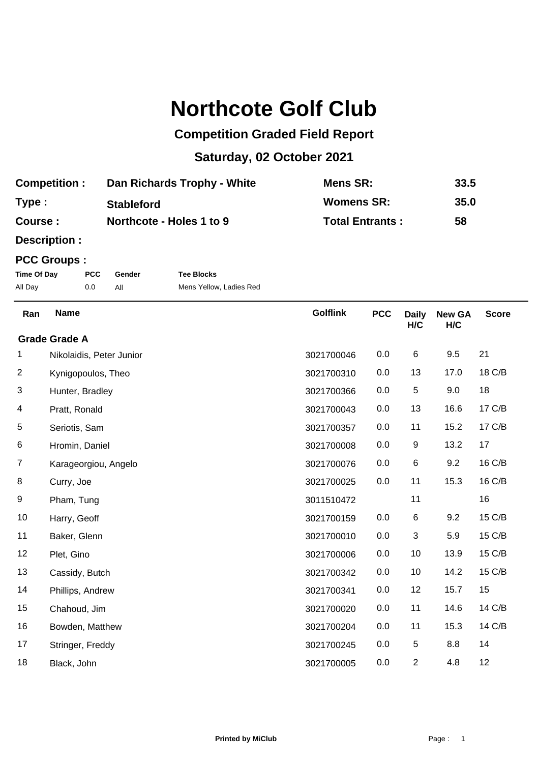## **Northcote Golf Club**

## **Competition Graded Field Report**

## **Saturday, 02 October 2021**

| <b>Competition:</b> | Dan Richards Trophy - White | Mens SR:               | 33.5 |
|---------------------|-----------------------------|------------------------|------|
| Type:               | <b>Stableford</b>           | Womens SR:             | 35.0 |
| <b>Course:</b>      | Northcote - Holes 1 to 9    | <b>Total Entrants:</b> | 58   |

**Description :**

## **PCC Groups :**

| Time Of Day | <b>PCC</b> | Gender | <b>Tee Blocks</b>       |
|-------------|------------|--------|-------------------------|
| All Day     | 0.0        |        | Mens Yellow, Ladies Red |

| Ran                  | <b>Name</b>              | <b>Golflink</b> | <b>PCC</b> | <b>Daily</b><br>H/C | <b>New GA</b><br>H/C | <b>Score</b> |
|----------------------|--------------------------|-----------------|------------|---------------------|----------------------|--------------|
| <b>Grade Grade A</b> |                          |                 |            |                     |                      |              |
| 1                    | Nikolaidis, Peter Junior | 3021700046      | 0.0        | 6                   | 9.5                  | 21           |
| $\overline{2}$       | Kynigopoulos, Theo       | 3021700310      | 0.0        | 13                  | 17.0                 | 18 C/B       |
| 3                    | Hunter, Bradley          | 3021700366      | 0.0        | 5                   | 9.0                  | 18           |
| 4                    | Pratt, Ronald            | 3021700043      | 0.0        | 13                  | 16.6                 | 17 C/B       |
| 5                    | Seriotis, Sam            | 3021700357      | 0.0        | 11                  | 15.2                 | 17 C/B       |
| 6                    | Hromin, Daniel           | 3021700008      | 0.0        | $\boldsymbol{9}$    | 13.2                 | 17           |
| $\overline{7}$       | Karageorgiou, Angelo     | 3021700076      | 0.0        | 6                   | 9.2                  | 16 C/B       |
| 8                    | Curry, Joe               | 3021700025      | 0.0        | 11                  | 15.3                 | 16 C/B       |
| 9                    | Pham, Tung               | 3011510472      |            | 11                  |                      | 16           |
| 10                   | Harry, Geoff             | 3021700159      | 0.0        | 6                   | 9.2                  | 15 C/B       |
| 11                   | Baker, Glenn             | 3021700010      | 0.0        | 3                   | 5.9                  | 15 C/B       |
| 12                   | Plet, Gino               | 3021700006      | 0.0        | 10                  | 13.9                 | 15 C/B       |
| 13                   | Cassidy, Butch           | 3021700342      | 0.0        | 10                  | 14.2                 | 15 C/B       |
| 14                   | Phillips, Andrew         | 3021700341      | 0.0        | 12                  | 15.7                 | 15           |
| 15                   | Chahoud, Jim             | 3021700020      | 0.0        | 11                  | 14.6                 | 14 C/B       |
| 16                   | Bowden, Matthew          | 3021700204      | 0.0        | 11                  | 15.3                 | 14 C/B       |
| 17                   | Stringer, Freddy         | 3021700245      | 0.0        | 5                   | 8.8                  | 14           |
| 18                   | Black, John              | 3021700005      | 0.0        | $\overline{2}$      | 4.8                  | 12           |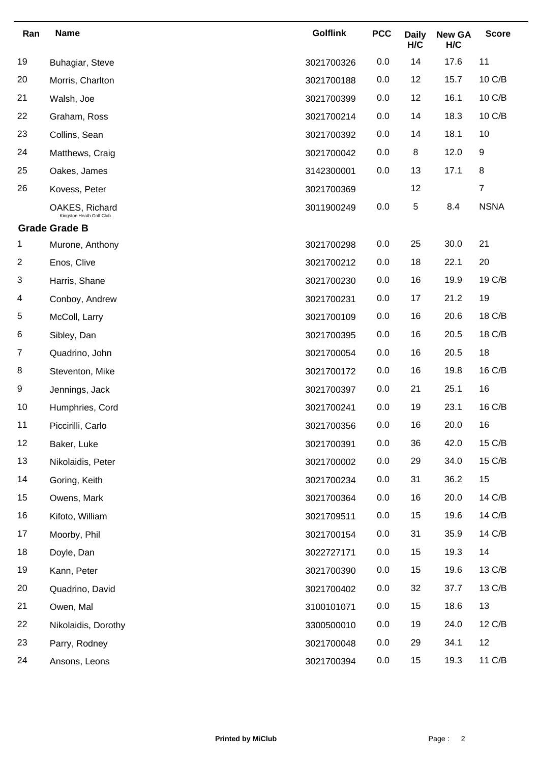| Ran | <b>Name</b>                                | <b>Golflink</b> | <b>PCC</b> | <b>Daily</b><br>H/C | <b>New GA</b><br>H/C | <b>Score</b>   |
|-----|--------------------------------------------|-----------------|------------|---------------------|----------------------|----------------|
| 19  | Buhagiar, Steve                            | 3021700326      | 0.0        | 14                  | 17.6                 | 11             |
| 20  | Morris, Charlton                           | 3021700188      | 0.0        | 12                  | 15.7                 | 10 C/B         |
| 21  | Walsh, Joe                                 | 3021700399      | 0.0        | 12                  | 16.1                 | 10 C/B         |
| 22  | Graham, Ross                               | 3021700214      | 0.0        | 14                  | 18.3                 | 10 C/B         |
| 23  | Collins, Sean                              | 3021700392      | 0.0        | 14                  | 18.1                 | 10             |
| 24  | Matthews, Craig                            | 3021700042      | 0.0        | 8                   | 12.0                 | 9              |
| 25  | Oakes, James                               | 3142300001      | 0.0        | 13                  | 17.1                 | 8              |
| 26  | Kovess, Peter                              | 3021700369      |            | 12                  |                      | $\overline{7}$ |
|     | OAKES, Richard<br>Kingston Heath Golf Club | 3011900249      | 0.0        | 5                   | 8.4                  | <b>NSNA</b>    |
|     | <b>Grade Grade B</b>                       |                 |            |                     |                      |                |
| 1   | Murone, Anthony                            | 3021700298      | 0.0        | 25                  | 30.0                 | 21             |
| 2   | Enos, Clive                                | 3021700212      | 0.0        | 18                  | 22.1                 | 20             |
| 3   | Harris, Shane                              | 3021700230      | 0.0        | 16                  | 19.9                 | 19 C/B         |
| 4   | Conboy, Andrew                             | 3021700231      | 0.0        | 17                  | 21.2                 | 19             |
| 5   | McColl, Larry                              | 3021700109      | 0.0        | 16                  | 20.6                 | 18 C/B         |
| 6   | Sibley, Dan                                | 3021700395      | 0.0        | 16                  | 20.5                 | 18 C/B         |
| 7   | Quadrino, John                             | 3021700054      | 0.0        | 16                  | 20.5                 | 18             |
| 8   | Steventon, Mike                            | 3021700172      | 0.0        | 16                  | 19.8                 | 16 C/B         |
| 9   | Jennings, Jack                             | 3021700397      | 0.0        | 21                  | 25.1                 | 16             |
| 10  | Humphries, Cord                            | 3021700241      | 0.0        | 19                  | 23.1                 | 16 C/B         |
| 11  | Piccirilli, Carlo                          | 3021700356      | 0.0        | 16                  | 20.0                 | 16             |
| 12  | Baker, Luke                                | 3021700391      | 0.0        | 36                  | 42.0                 | 15 C/B         |
| 13  | Nikolaidis, Peter                          | 3021700002      | 0.0        | 29                  | 34.0                 | 15 C/B         |
| 14  | Goring, Keith                              | 3021700234      | 0.0        | 31                  | 36.2                 | 15             |
| 15  | Owens, Mark                                | 3021700364      | 0.0        | 16                  | 20.0                 | 14 C/B         |
| 16  | Kifoto, William                            | 3021709511      | 0.0        | 15                  | 19.6                 | 14 C/B         |
| 17  | Moorby, Phil                               | 3021700154      | 0.0        | 31                  | 35.9                 | 14 C/B         |
| 18  | Doyle, Dan                                 | 3022727171      | 0.0        | 15                  | 19.3                 | 14             |
| 19  | Kann, Peter                                | 3021700390      | 0.0        | 15                  | 19.6                 | 13 C/B         |
| 20  | Quadrino, David                            | 3021700402      | 0.0        | 32                  | 37.7                 | 13 C/B         |
| 21  | Owen, Mal                                  | 3100101071      | 0.0        | 15                  | 18.6                 | 13             |
| 22  | Nikolaidis, Dorothy                        | 3300500010      | 0.0        | 19                  | 24.0                 | 12 C/B         |
| 23  | Parry, Rodney                              | 3021700048      | 0.0        | 29                  | 34.1                 | 12             |
| 24  | Ansons, Leons                              | 3021700394      | 0.0        | 15                  | 19.3                 | 11 C/B         |